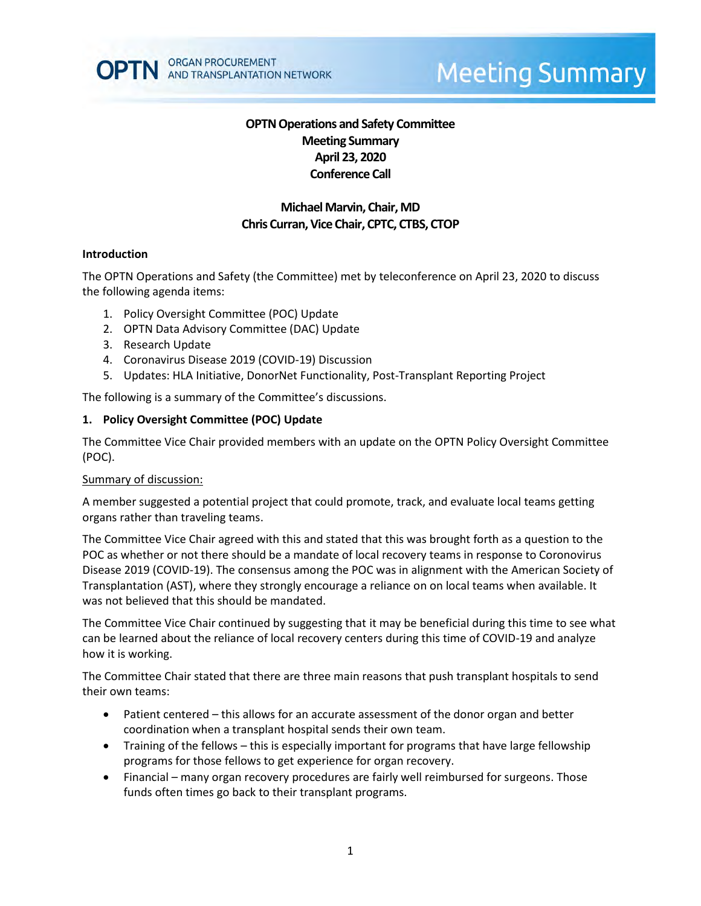

# **Meeting Summary**

# **OPTN Operations and Safety Committee Meeting Summary April 23, 2020 Conference Call**

# **Michael Marvin, Chair, MD Chris Curran, Vice Chair, CPTC, CTBS, CTOP**

#### **Introduction**

The OPTN Operations and Safety (the Committee) met by teleconference on April 23, 2020 to discuss the following agenda items:

- 1. Policy Oversight Committee (POC) Update
- 2. OPTN Data Advisory Committee (DAC) Update
- 3. Research Update
- 4. Coronavirus Disease 2019 (COVID-19) Discussion
- 5. Updates: HLA Initiative, DonorNet Functionality, Post-Transplant Reporting Project

The following is a summary of the Committee's discussions.

#### **1. Policy Oversight Committee (POC) Update**

The Committee Vice Chair provided members with an update on the OPTN Policy Oversight Committee (POC).

#### Summary of discussion:

A member suggested a potential project that could promote, track, and evaluate local teams getting organs rather than traveling teams.

The Committee Vice Chair agreed with this and stated that this was brought forth as a question to the POC as whether or not there should be a mandate of local recovery teams in response to Coronovirus Disease 2019 (COVID-19). The consensus among the POC was in alignment with the American Society of Transplantation (AST), where they strongly encourage a reliance on on local teams when available. It was not believed that this should be mandated.

The Committee Vice Chair continued by suggesting that it may be beneficial during this time to see what can be learned about the reliance of local recovery centers during this time of COVID-19 and analyze how it is working.

The Committee Chair stated that there are three main reasons that push transplant hospitals to send their own teams:

- Patient centered this allows for an accurate assessment of the donor organ and better coordination when a transplant hospital sends their own team.
- Training of the fellows this is especially important for programs that have large fellowship programs for those fellows to get experience for organ recovery.
- Financial many organ recovery procedures are fairly well reimbursed for surgeons. Those funds often times go back to their transplant programs.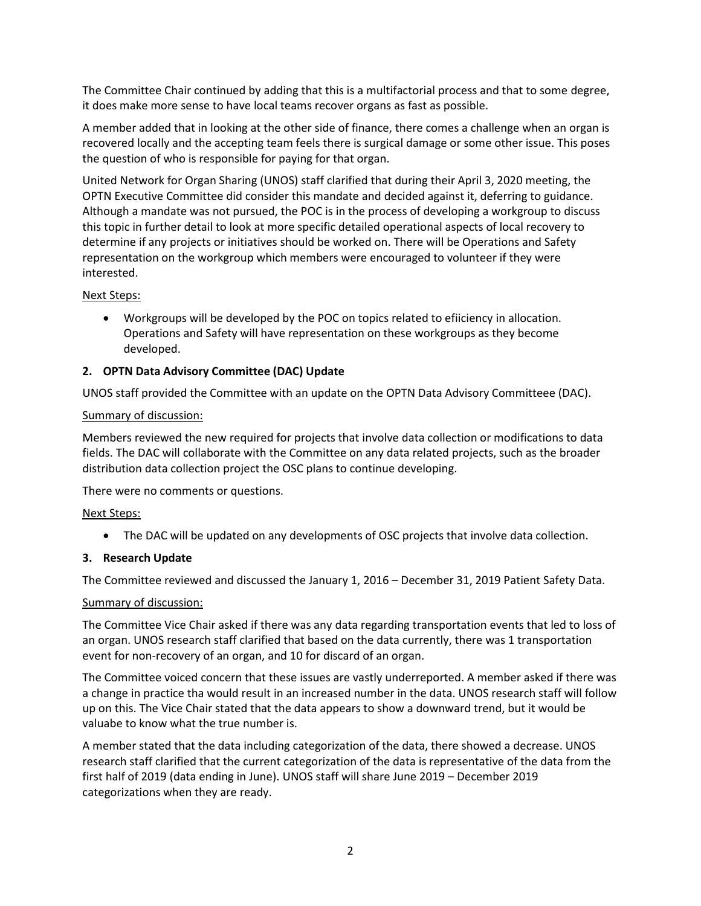The Committee Chair continued by adding that this is a multifactorial process and that to some degree, it does make more sense to have local teams recover organs as fast as possible.

A member added that in looking at the other side of finance, there comes a challenge when an organ is recovered locally and the accepting team feels there is surgical damage or some other issue. This poses the question of who is responsible for paying for that organ.

United Network for Organ Sharing (UNOS) staff clarified that during their April 3, 2020 meeting, the OPTN Executive Committee did consider this mandate and decided against it, deferring to guidance. Although a mandate was not pursued, the POC is in the process of developing a workgroup to discuss this topic in further detail to look at more specific detailed operational aspects of local recovery to determine if any projects or initiatives should be worked on. There will be Operations and Safety representation on the workgroup which members were encouraged to volunteer if they were interested.

# Next Steps:

 Workgroups will be developed by the POC on topics related to efiiciency in allocation. Operations and Safety will have representation on these workgroups as they become developed.

# **2. OPTN Data Advisory Committee (DAC) Update**

UNOS staff provided the Committee with an update on the OPTN Data Advisory Committeee (DAC).

## Summary of discussion:

Members reviewed the new required for projects that involve data collection or modifications to data fields. The DAC will collaborate with the Committee on any data related projects, such as the broader distribution data collection project the OSC plans to continue developing.

There were no comments or questions.

## Next Steps:

The DAC will be updated on any developments of OSC projects that involve data collection.

## **3. Research Update**

The Committee reviewed and discussed the January 1, 2016 – December 31, 2019 Patient Safety Data.

#### Summary of discussion:

The Committee Vice Chair asked if there was any data regarding transportation events that led to loss of an organ. UNOS research staff clarified that based on the data currently, there was 1 transportation event for non-recovery of an organ, and 10 for discard of an organ.

The Committee voiced concern that these issues are vastly underreported. A member asked if there was a change in practice tha would result in an increased number in the data. UNOS research staff will follow up on this. The Vice Chair stated that the data appears to show a downward trend, but it would be valuabe to know what the true number is.

A member stated that the data including categorization of the data, there showed a decrease. UNOS research staff clarified that the current categorization of the data is representative of the data from the first half of 2019 (data ending in June). UNOS staff will share June 2019 – December 2019 categorizations when they are ready.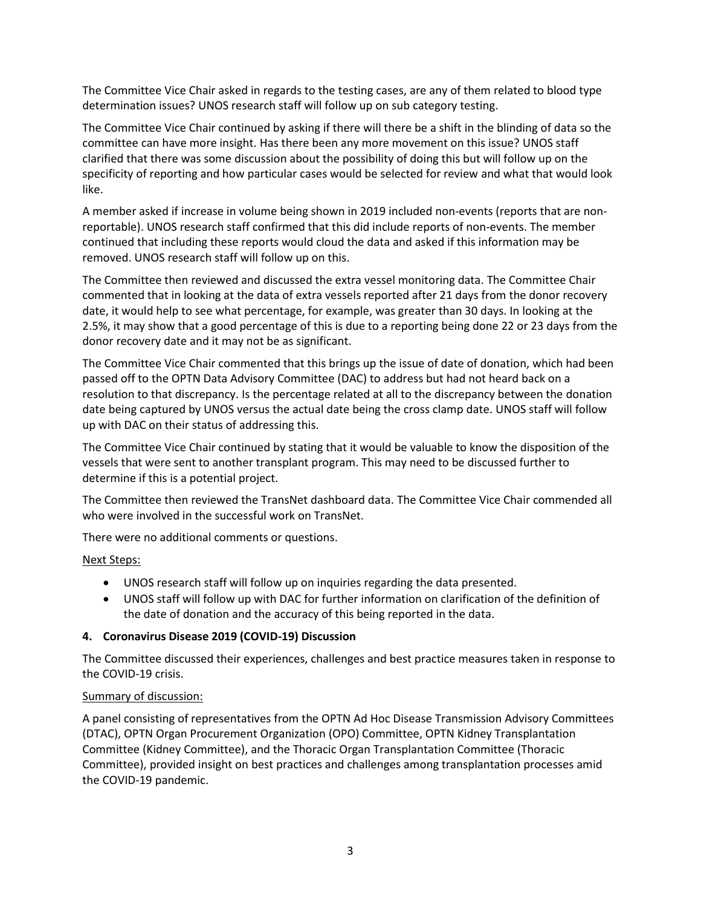The Committee Vice Chair asked in regards to the testing cases, are any of them related to blood type determination issues? UNOS research staff will follow up on sub category testing.

The Committee Vice Chair continued by asking if there will there be a shift in the blinding of data so the committee can have more insight. Has there been any more movement on this issue? UNOS staff clarified that there was some discussion about the possibility of doing this but will follow up on the specificity of reporting and how particular cases would be selected for review and what that would look like.

A member asked if increase in volume being shown in 2019 included non-events (reports that are nonreportable). UNOS research staff confirmed that this did include reports of non-events. The member continued that including these reports would cloud the data and asked if this information may be removed. UNOS research staff will follow up on this.

The Committee then reviewed and discussed the extra vessel monitoring data. The Committee Chair commented that in looking at the data of extra vessels reported after 21 days from the donor recovery date, it would help to see what percentage, for example, was greater than 30 days. In looking at the 2.5%, it may show that a good percentage of this is due to a reporting being done 22 or 23 days from the donor recovery date and it may not be as significant.

The Committee Vice Chair commented that this brings up the issue of date of donation, which had been passed off to the OPTN Data Advisory Committee (DAC) to address but had not heard back on a resolution to that discrepancy. Is the percentage related at all to the discrepancy between the donation date being captured by UNOS versus the actual date being the cross clamp date. UNOS staff will follow up with DAC on their status of addressing this.

The Committee Vice Chair continued by stating that it would be valuable to know the disposition of the vessels that were sent to another transplant program. This may need to be discussed further to determine if this is a potential project.

The Committee then reviewed the TransNet dashboard data. The Committee Vice Chair commended all who were involved in the successful work on TransNet.

There were no additional comments or questions.

# Next Steps:

- UNOS research staff will follow up on inquiries regarding the data presented.
- UNOS staff will follow up with DAC for further information on clarification of the definition of the date of donation and the accuracy of this being reported in the data.

# **4. Coronavirus Disease 2019 (COVID-19) Discussion**

The Committee discussed their experiences, challenges and best practice measures taken in response to the COVID-19 crisis.

## Summary of discussion:

A panel consisting of representatives from the OPTN Ad Hoc Disease Transmission Advisory Committees (DTAC), OPTN Organ Procurement Organization (OPO) Committee, OPTN Kidney Transplantation Committee (Kidney Committee), and the Thoracic Organ Transplantation Committee (Thoracic Committee), provided insight on best practices and challenges among transplantation processes amid the COVID-19 pandemic.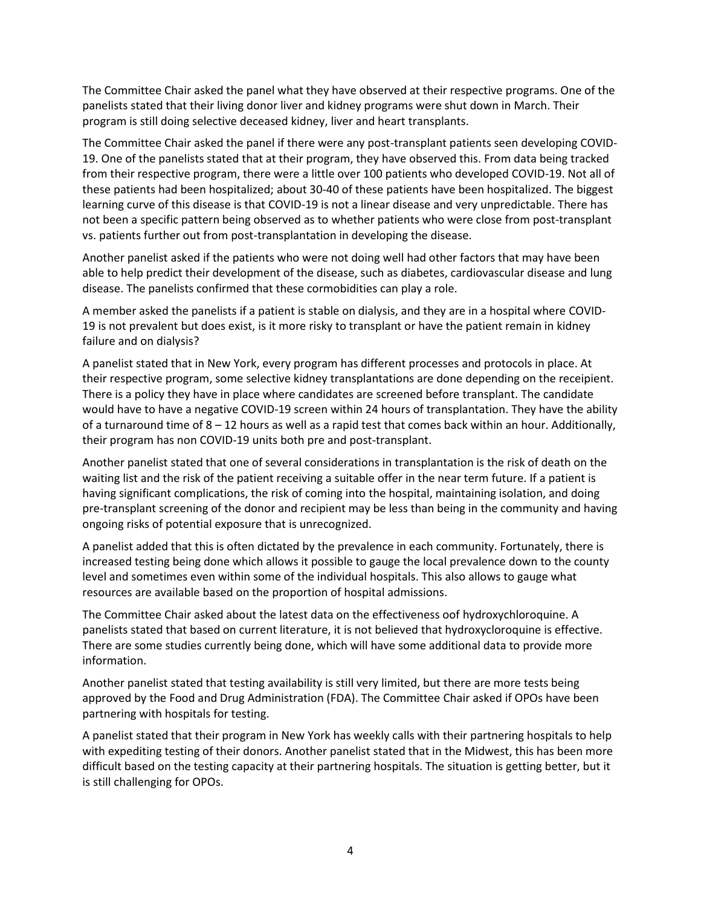The Committee Chair asked the panel what they have observed at their respective programs. One of the panelists stated that their living donor liver and kidney programs were shut down in March. Their program is still doing selective deceased kidney, liver and heart transplants.

The Committee Chair asked the panel if there were any post-transplant patients seen developing COVID-19. One of the panelists stated that at their program, they have observed this. From data being tracked from their respective program, there were a little over 100 patients who developed COVID-19. Not all of these patients had been hospitalized; about 30-40 of these patients have been hospitalized. The biggest learning curve of this disease is that COVID-19 is not a linear disease and very unpredictable. There has not been a specific pattern being observed as to whether patients who were close from post-transplant vs. patients further out from post-transplantation in developing the disease.

Another panelist asked if the patients who were not doing well had other factors that may have been able to help predict their development of the disease, such as diabetes, cardiovascular disease and lung disease. The panelists confirmed that these cormobidities can play a role.

A member asked the panelists if a patient is stable on dialysis, and they are in a hospital where COVID-19 is not prevalent but does exist, is it more risky to transplant or have the patient remain in kidney failure and on dialysis?

A panelist stated that in New York, every program has different processes and protocols in place. At their respective program, some selective kidney transplantations are done depending on the receipient. There is a policy they have in place where candidates are screened before transplant. The candidate would have to have a negative COVID-19 screen within 24 hours of transplantation. They have the ability of a turnaround time of  $8 - 12$  hours as well as a rapid test that comes back within an hour. Additionally, their program has non COVID-19 units both pre and post-transplant.

Another panelist stated that one of several considerations in transplantation is the risk of death on the waiting list and the risk of the patient receiving a suitable offer in the near term future. If a patient is having significant complications, the risk of coming into the hospital, maintaining isolation, and doing pre-transplant screening of the donor and recipient may be less than being in the community and having ongoing risks of potential exposure that is unrecognized.

A panelist added that this is often dictated by the prevalence in each community. Fortunately, there is increased testing being done which allows it possible to gauge the local prevalence down to the county level and sometimes even within some of the individual hospitals. This also allows to gauge what resources are available based on the proportion of hospital admissions.

The Committee Chair asked about the latest data on the effectiveness oof hydroxychloroquine. A panelists stated that based on current literature, it is not believed that hydroxycloroquine is effective. There are some studies currently being done, which will have some additional data to provide more information.

Another panelist stated that testing availability is still very limited, but there are more tests being approved by the Food and Drug Administration (FDA). The Committee Chair asked if OPOs have been partnering with hospitals for testing.

A panelist stated that their program in New York has weekly calls with their partnering hospitals to help with expediting testing of their donors. Another panelist stated that in the Midwest, this has been more difficult based on the testing capacity at their partnering hospitals. The situation is getting better, but it is still challenging for OPOs.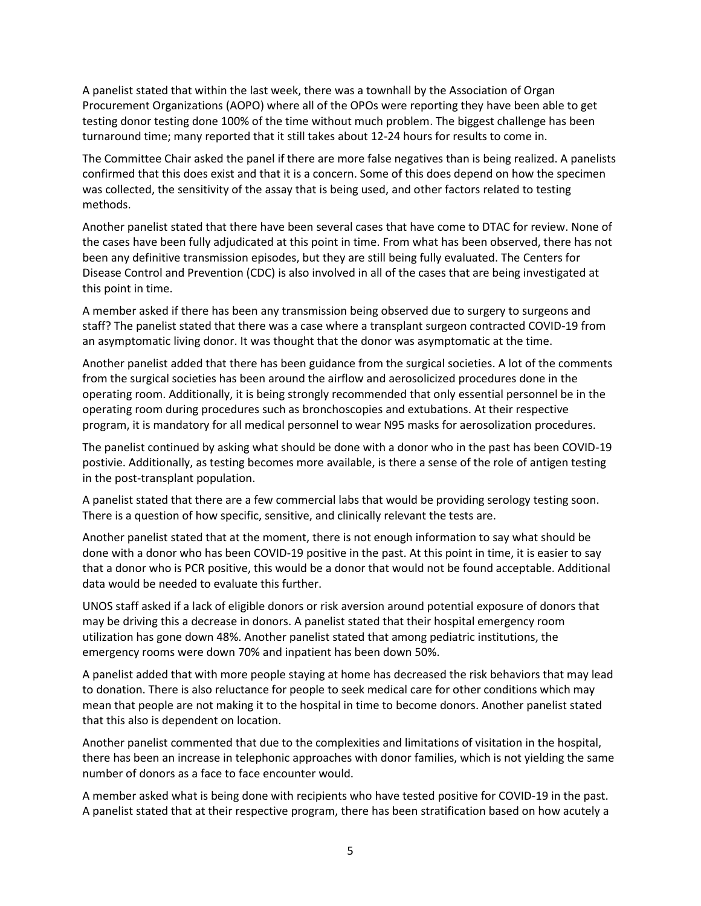A panelist stated that within the last week, there was a townhall by the Association of Organ Procurement Organizations (AOPO) where all of the OPOs were reporting they have been able to get testing donor testing done 100% of the time without much problem. The biggest challenge has been turnaround time; many reported that it still takes about 12-24 hours for results to come in.

The Committee Chair asked the panel if there are more false negatives than is being realized. A panelists confirmed that this does exist and that it is a concern. Some of this does depend on how the specimen was collected, the sensitivity of the assay that is being used, and other factors related to testing methods.

Another panelist stated that there have been several cases that have come to DTAC for review. None of the cases have been fully adjudicated at this point in time. From what has been observed, there has not been any definitive transmission episodes, but they are still being fully evaluated. The Centers for Disease Control and Prevention (CDC) is also involved in all of the cases that are being investigated at this point in time.

A member asked if there has been any transmission being observed due to surgery to surgeons and staff? The panelist stated that there was a case where a transplant surgeon contracted COVID-19 from an asymptomatic living donor. It was thought that the donor was asymptomatic at the time.

Another panelist added that there has been guidance from the surgical societies. A lot of the comments from the surgical societies has been around the airflow and aerosolicized procedures done in the operating room. Additionally, it is being strongly recommended that only essential personnel be in the operating room during procedures such as bronchoscopies and extubations. At their respective program, it is mandatory for all medical personnel to wear N95 masks for aerosolization procedures.

The panelist continued by asking what should be done with a donor who in the past has been COVID-19 postivie. Additionally, as testing becomes more available, is there a sense of the role of antigen testing in the post-transplant population.

A panelist stated that there are a few commercial labs that would be providing serology testing soon. There is a question of how specific, sensitive, and clinically relevant the tests are.

Another panelist stated that at the moment, there is not enough information to say what should be done with a donor who has been COVID-19 positive in the past. At this point in time, it is easier to say that a donor who is PCR positive, this would be a donor that would not be found acceptable. Additional data would be needed to evaluate this further.

UNOS staff asked if a lack of eligible donors or risk aversion around potential exposure of donors that may be driving this a decrease in donors. A panelist stated that their hospital emergency room utilization has gone down 48%. Another panelist stated that among pediatric institutions, the emergency rooms were down 70% and inpatient has been down 50%.

A panelist added that with more people staying at home has decreased the risk behaviors that may lead to donation. There is also reluctance for people to seek medical care for other conditions which may mean that people are not making it to the hospital in time to become donors. Another panelist stated that this also is dependent on location.

Another panelist commented that due to the complexities and limitations of visitation in the hospital, there has been an increase in telephonic approaches with donor families, which is not yielding the same number of donors as a face to face encounter would.

A member asked what is being done with recipients who have tested positive for COVID-19 in the past. A panelist stated that at their respective program, there has been stratification based on how acutely a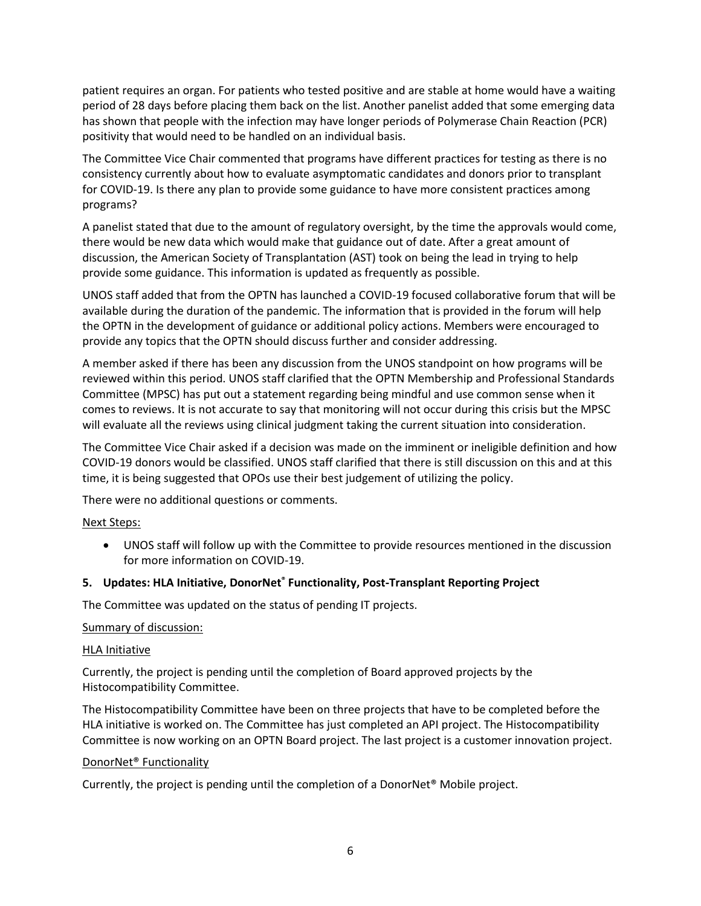patient requires an organ. For patients who tested positive and are stable at home would have a waiting period of 28 days before placing them back on the list. Another panelist added that some emerging data has shown that people with the infection may have longer periods of Polymerase Chain Reaction (PCR) positivity that would need to be handled on an individual basis.

The Committee Vice Chair commented that programs have different practices for testing as there is no consistency currently about how to evaluate asymptomatic candidates and donors prior to transplant for COVID-19. Is there any plan to provide some guidance to have more consistent practices among programs?

A panelist stated that due to the amount of regulatory oversight, by the time the approvals would come, there would be new data which would make that guidance out of date. After a great amount of discussion, the American Society of Transplantation (AST) took on being the lead in trying to help provide some guidance. This information is updated as frequently as possible.

UNOS staff added that from the OPTN has launched a COVID-19 focused collaborative forum that will be available during the duration of the pandemic. The information that is provided in the forum will help the OPTN in the development of guidance or additional policy actions. Members were encouraged to provide any topics that the OPTN should discuss further and consider addressing.

A member asked if there has been any discussion from the UNOS standpoint on how programs will be reviewed within this period. UNOS staff clarified that the OPTN Membership and Professional Standards Committee (MPSC) has put out a statement regarding being mindful and use common sense when it comes to reviews. It is not accurate to say that monitoring will not occur during this crisis but the MPSC will evaluate all the reviews using clinical judgment taking the current situation into consideration.

The Committee Vice Chair asked if a decision was made on the imminent or ineligible definition and how COVID-19 donors would be classified. UNOS staff clarified that there is still discussion on this and at this time, it is being suggested that OPOs use their best judgement of utilizing the policy.

There were no additional questions or comments.

## Next Steps:

 UNOS staff will follow up with the Committee to provide resources mentioned in the discussion for more information on COVID-19.

# **5. Updates: HLA Initiative, DonorNet® Functionality, Post-Transplant Reporting Project**

The Committee was updated on the status of pending IT projects.

## Summary of discussion:

## HLA Initiative

Currently, the project is pending until the completion of Board approved projects by the Histocompatibility Committee.

The Histocompatibility Committee have been on three projects that have to be completed before the HLA initiative is worked on. The Committee has just completed an API project. The Histocompatibility Committee is now working on an OPTN Board project. The last project is a customer innovation project.

## DonorNet® Functionality

Currently, the project is pending until the completion of a DonorNet® Mobile project.